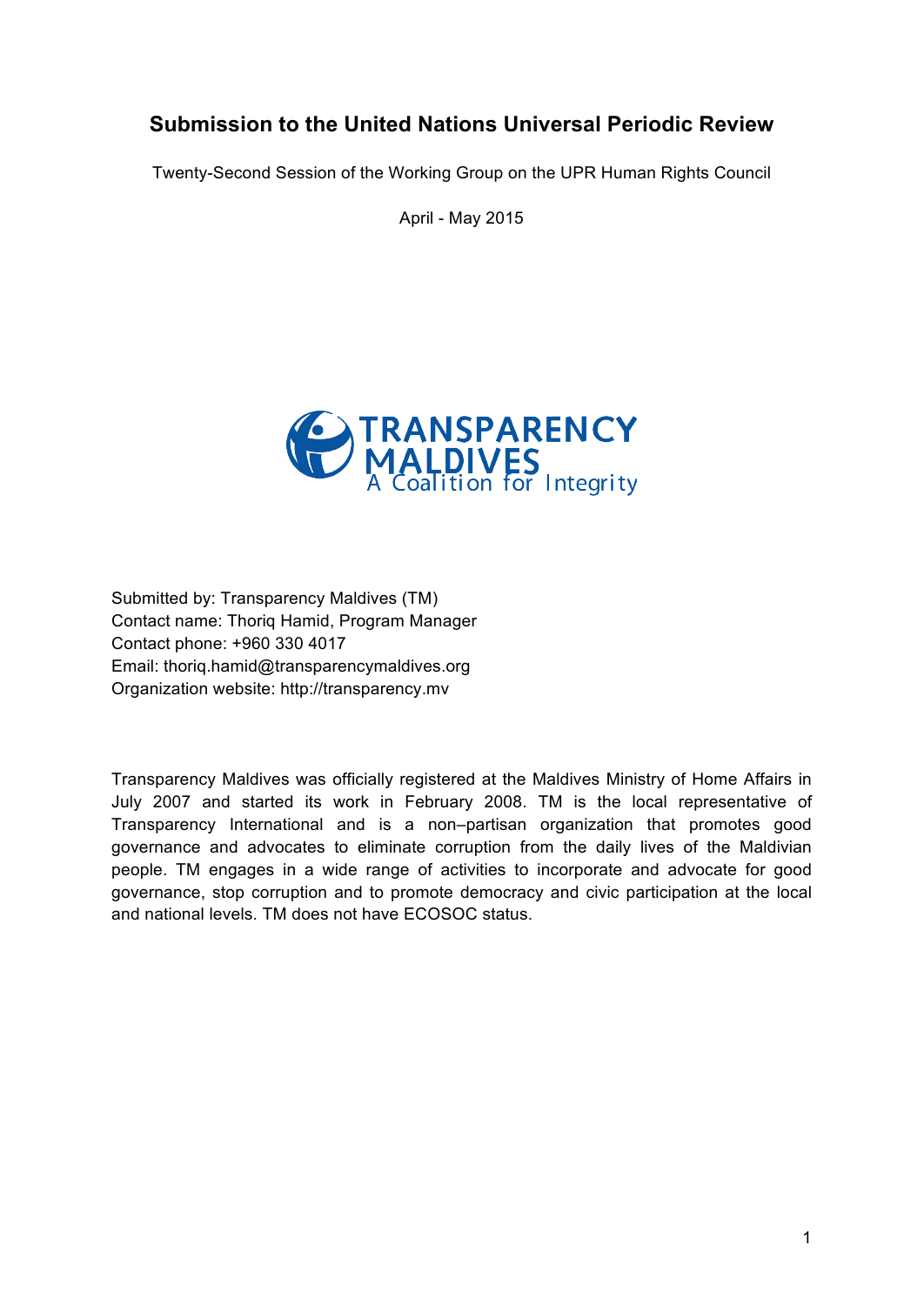# **Submission to the United Nations Universal Periodic Review**

Twenty-Second Session of the Working Group on the UPR Human Rights Council

April - May 2015



Submitted by: Transparency Maldives (TM) Contact name: Thoriq Hamid, Program Manager Contact phone: +960 330 4017 Email: thoriq.hamid@transparencymaldives.org Organization website: http://transparency.mv

Transparency Maldives was officially registered at the Maldives Ministry of Home Affairs in July 2007 and started its work in February 2008. TM is the local representative of Transparency International and is a non–partisan organization that promotes good governance and advocates to eliminate corruption from the daily lives of the Maldivian people. TM engages in a wide range of activities to incorporate and advocate for good governance, stop corruption and to promote democracy and civic participation at the local and national levels. TM does not have ECOSOC status.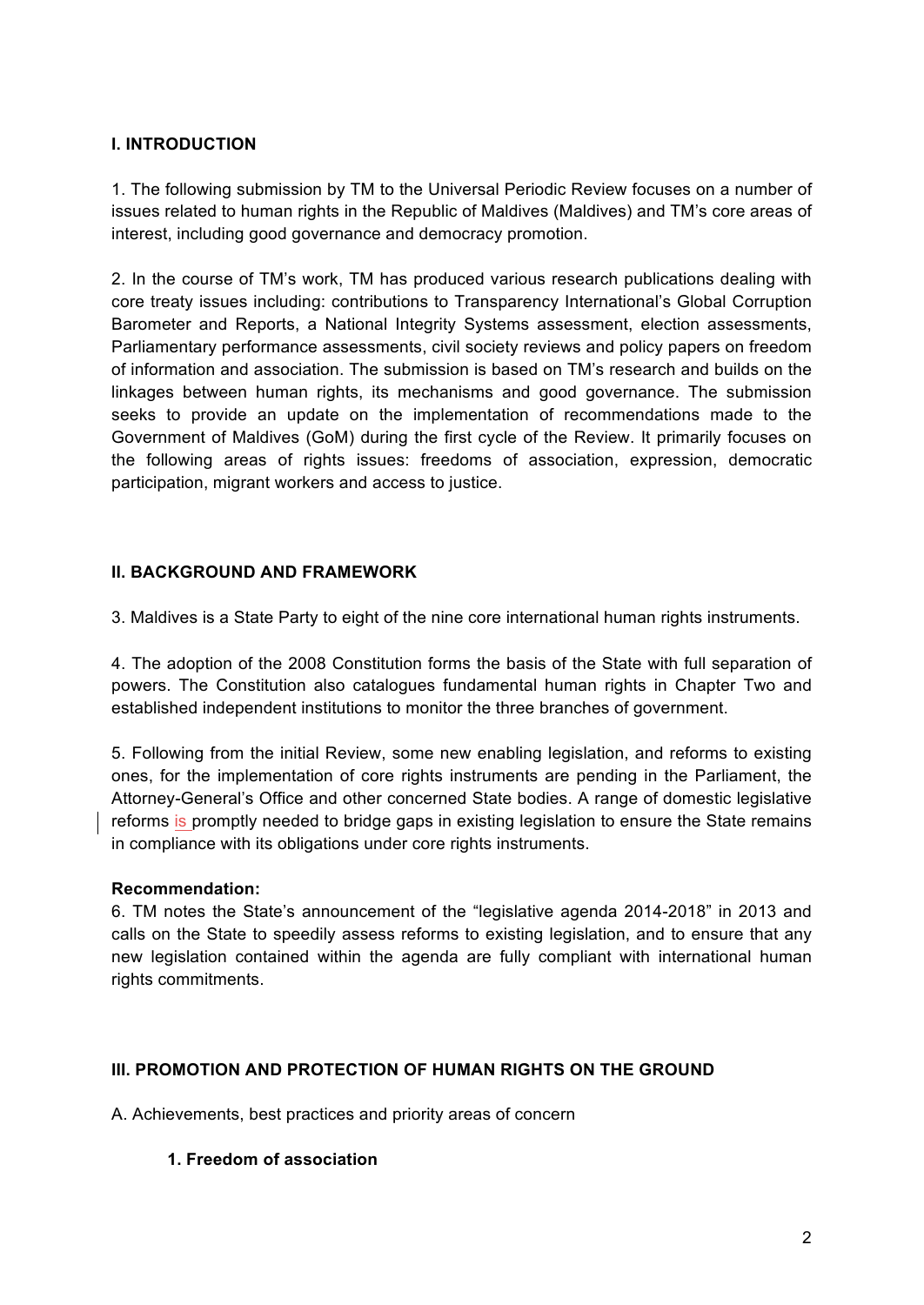# **I. INTRODUCTION**

1. The following submission by TM to the Universal Periodic Review focuses on a number of issues related to human rights in the Republic of Maldives (Maldives) and TM's core areas of interest, including good governance and democracy promotion.

2. In the course of TM's work, TM has produced various research publications dealing with core treaty issues including: contributions to Transparency International's Global Corruption Barometer and Reports, a National Integrity Systems assessment, election assessments, Parliamentary performance assessments, civil society reviews and policy papers on freedom of information and association. The submission is based on TM's research and builds on the linkages between human rights, its mechanisms and good governance. The submission seeks to provide an update on the implementation of recommendations made to the Government of Maldives (GoM) during the first cycle of the Review. It primarily focuses on the following areas of rights issues: freedoms of association, expression, democratic participation, migrant workers and access to justice.

# **II. BACKGROUND AND FRAMEWORK**

3. Maldives is a State Party to eight of the nine core international human rights instruments.

4. The adoption of the 2008 Constitution forms the basis of the State with full separation of powers. The Constitution also catalogues fundamental human rights in Chapter Two and established independent institutions to monitor the three branches of government.

5. Following from the initial Review, some new enabling legislation, and reforms to existing ones, for the implementation of core rights instruments are pending in the Parliament, the Attorney-General's Office and other concerned State bodies. A range of domestic legislative reforms is promptly needed to bridge gaps in existing legislation to ensure the State remains in compliance with its obligations under core rights instruments.

### **Recommendation:**

6. TM notes the State's announcement of the "legislative agenda 2014-2018" in 2013 and calls on the State to speedily assess reforms to existing legislation, and to ensure that any new legislation contained within the agenda are fully compliant with international human rights commitments.

### **III. PROMOTION AND PROTECTION OF HUMAN RIGHTS ON THE GROUND**

A. Achievements, best practices and priority areas of concern

### **1. Freedom of association**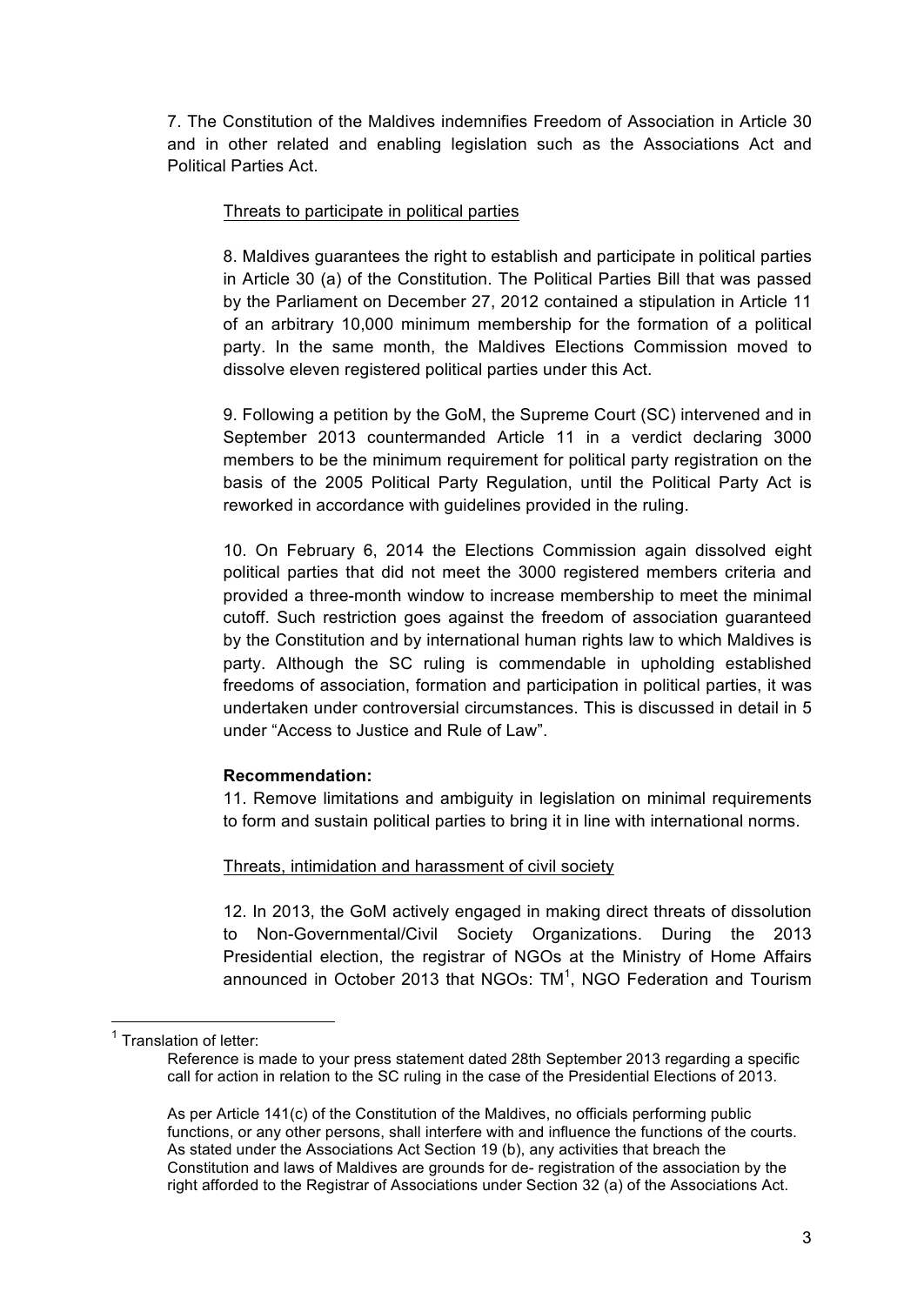7. The Constitution of the Maldives indemnifies Freedom of Association in Article 30 and in other related and enabling legislation such as the Associations Act and Political Parties Act.

# Threats to participate in political parties

8. Maldives guarantees the right to establish and participate in political parties in Article 30 (a) of the Constitution. The Political Parties Bill that was passed by the Parliament on December 27, 2012 contained a stipulation in Article 11 of an arbitrary 10,000 minimum membership for the formation of a political party. In the same month, the Maldives Elections Commission moved to dissolve eleven registered political parties under this Act.

9. Following a petition by the GoM, the Supreme Court (SC) intervened and in September 2013 countermanded Article 11 in a verdict declaring 3000 members to be the minimum requirement for political party registration on the basis of the 2005 Political Party Regulation, until the Political Party Act is reworked in accordance with guidelines provided in the ruling.

10. On February 6, 2014 the Elections Commission again dissolved eight political parties that did not meet the 3000 registered members criteria and provided a three-month window to increase membership to meet the minimal cutoff. Such restriction goes against the freedom of association guaranteed by the Constitution and by international human rights law to which Maldives is party. Although the SC ruling is commendable in upholding established freedoms of association, formation and participation in political parties, it was undertaken under controversial circumstances. This is discussed in detail in 5 under "Access to Justice and Rule of Law".

### **Recommendation:**

11. Remove limitations and ambiguity in legislation on minimal requirements to form and sustain political parties to bring it in line with international norms.

# Threats, intimidation and harassment of civil society

12. In 2013, the GoM actively engaged in making direct threats of dissolution to Non-Governmental/Civil Society Organizations. During the 2013 Presidential election, the registrar of NGOs at the Ministry of Home Affairs announced in October 2013 that NGOs:  $TM^1$ , NGO Federation and Tourism

<sup>&</sup>lt;sup>1</sup> Translation of letter:

Reference is made to your press statement dated 28th September 2013 regarding a specific call for action in relation to the SC ruling in the case of the Presidential Elections of 2013.

As per Article 141(c) of the Constitution of the Maldives, no officials performing public functions, or any other persons, shall interfere with and influence the functions of the courts. As stated under the Associations Act Section 19 (b), any activities that breach the Constitution and laws of Maldives are grounds for de- registration of the association by the right afforded to the Registrar of Associations under Section 32 (a) of the Associations Act.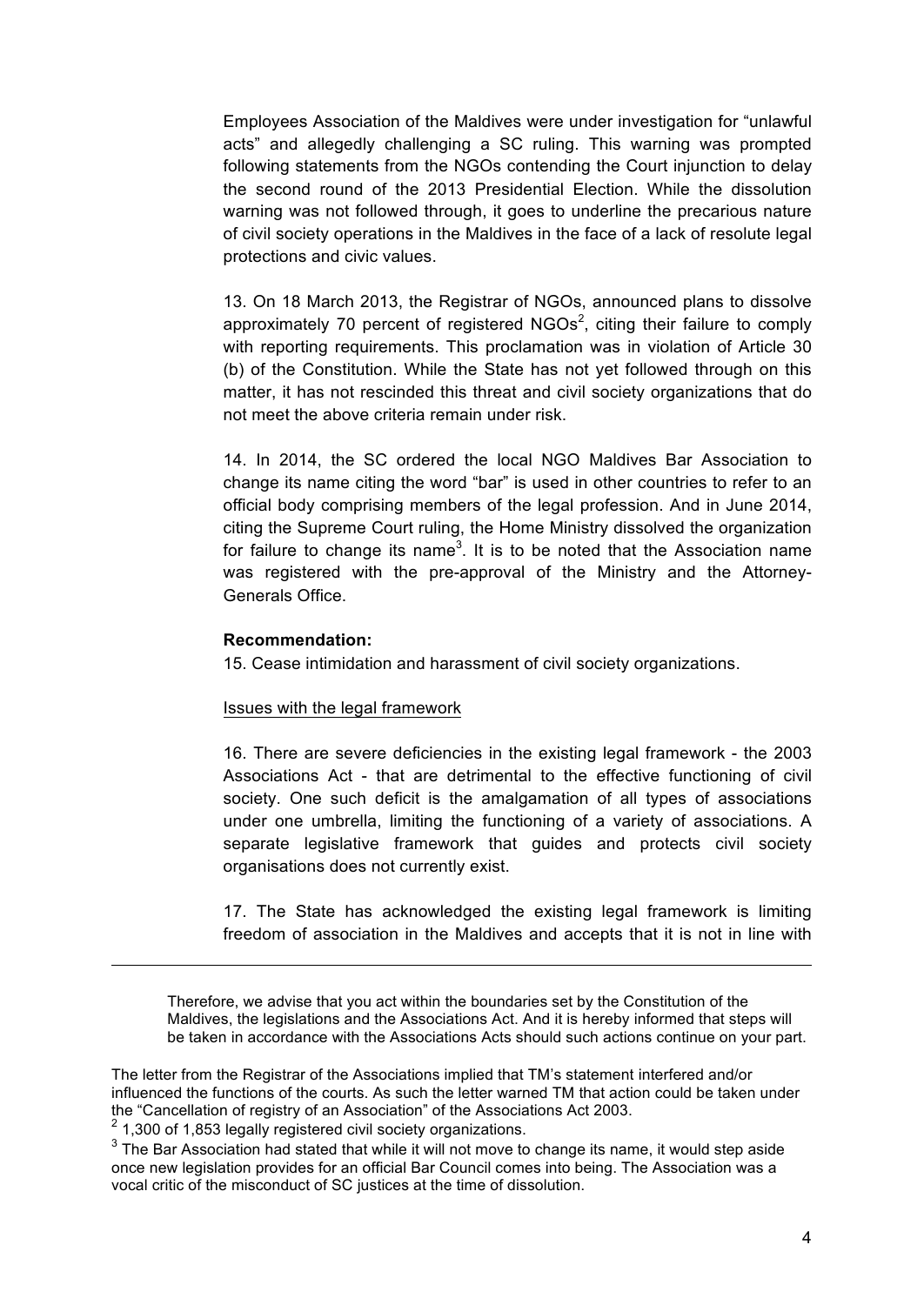Employees Association of the Maldives were under investigation for "unlawful acts" and allegedly challenging a SC ruling. This warning was prompted following statements from the NGOs contending the Court injunction to delay the second round of the 2013 Presidential Election. While the dissolution warning was not followed through, it goes to underline the precarious nature of civil society operations in the Maldives in the face of a lack of resolute legal protections and civic values.

13. On 18 March 2013, the Registrar of NGOs, announced plans to dissolve approximately 70 percent of registered NGOs<sup>2</sup>, citing their failure to comply with reporting requirements. This proclamation was in violation of Article 30 (b) of the Constitution. While the State has not yet followed through on this matter, it has not rescinded this threat and civil society organizations that do not meet the above criteria remain under risk.

14. In 2014, the SC ordered the local NGO Maldives Bar Association to change its name citing the word "bar" is used in other countries to refer to an official body comprising members of the legal profession. And in June 2014, citing the Supreme Court ruling, the Home Ministry dissolved the organization for failure to change its name<sup>3</sup>. It is to be noted that the Association name was registered with the pre-approval of the Ministry and the Attorney-Generals Office.

#### **Recommendation:**

15. Cease intimidation and harassment of civil society organizations.

#### Issues with the legal framework

16. There are severe deficiencies in the existing legal framework - the 2003 Associations Act - that are detrimental to the effective functioning of civil society. One such deficit is the amalgamation of all types of associations under one umbrella, limiting the functioning of a variety of associations. A separate legislative framework that guides and protects civil society organisations does not currently exist.

17. The State has acknowledged the existing legal framework is limiting freedom of association in the Maldives and accepts that it is not in line with

Therefore, we advise that you act within the boundaries set by the Constitution of the Maldives, the legislations and the Associations Act. And it is hereby informed that steps will be taken in accordance with the Associations Acts should such actions continue on your part.

The letter from the Registrar of the Associations implied that TM's statement interfered and/or influenced the functions of the courts. As such the letter warned TM that action could be taken under the "Cancellation of registry of an Association" of the Associations Act 2003.

 $2$  1,300 of 1,853 legally registered civil society organizations.

 $3$  The Bar Association had stated that while it will not move to change its name, it would step aside once new legislation provides for an official Bar Council comes into being. The Association was a vocal critic of the misconduct of SC justices at the time of dissolution.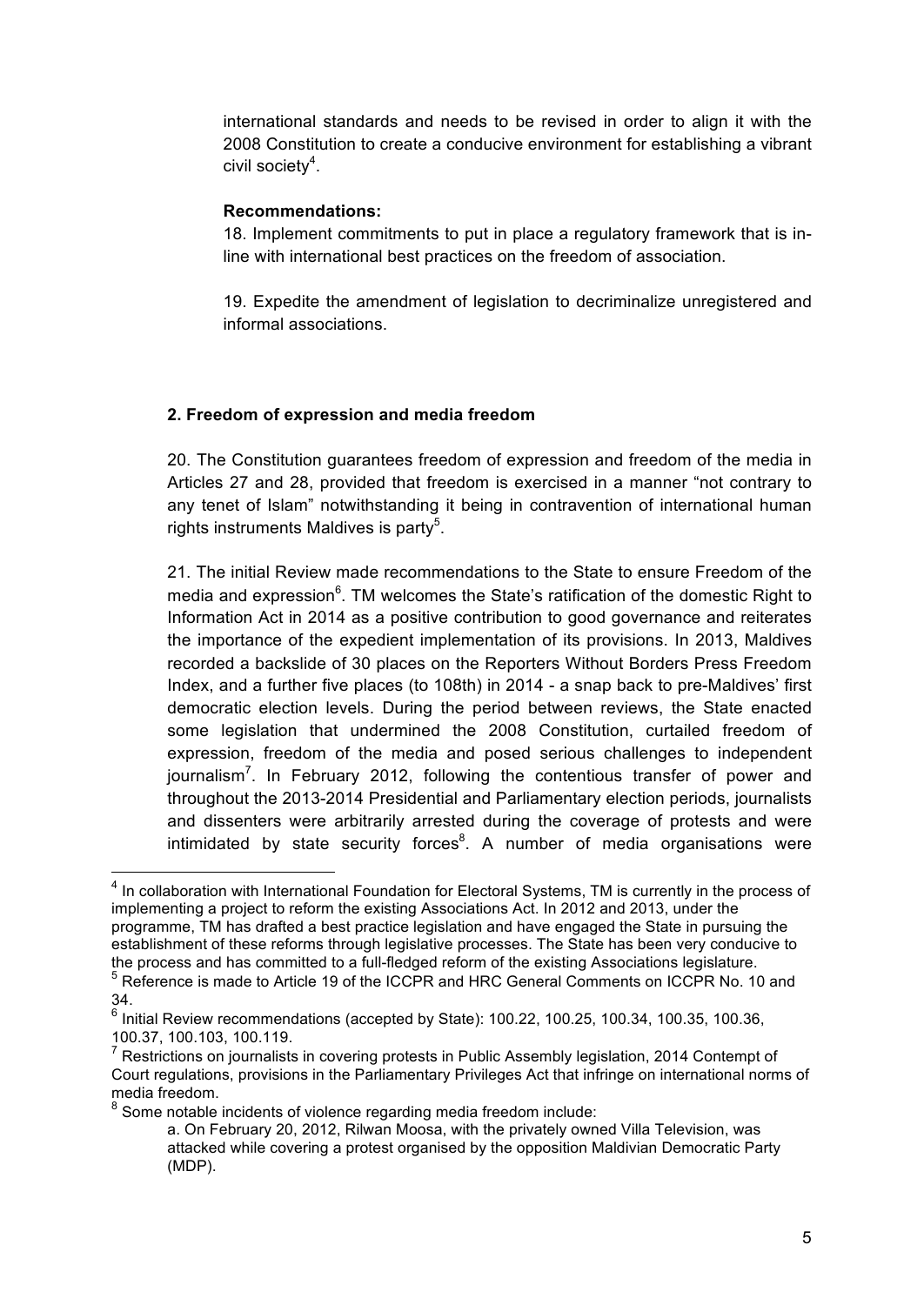international standards and needs to be revised in order to align it with the 2008 Constitution to create a conducive environment for establishing a vibrant civil society<sup>4</sup>.

## **Recommendations:**

18. Implement commitments to put in place a regulatory framework that is inline with international best practices on the freedom of association.

19. Expedite the amendment of legislation to decriminalize unregistered and informal associations.

# **2. Freedom of expression and media freedom**

20. The Constitution guarantees freedom of expression and freedom of the media in Articles 27 and 28, provided that freedom is exercised in a manner "not contrary to any tenet of Islam" notwithstanding it being in contravention of international human rights instruments Maldives is party<sup>5</sup>.

21. The initial Review made recommendations to the State to ensure Freedom of the media and expression<sup>6</sup>. TM welcomes the State's ratification of the domestic Right to Information Act in 2014 as a positive contribution to good governance and reiterates the importance of the expedient implementation of its provisions. In 2013, Maldives recorded a backslide of 30 places on the Reporters Without Borders Press Freedom Index, and a further five places (to 108th) in 2014 - a snap back to pre-Maldives' first democratic election levels. During the period between reviews, the State enacted some legislation that undermined the 2008 Constitution, curtailed freedom of expression, freedom of the media and posed serious challenges to independent journalism<sup>7</sup>. In February 2012, following the contentious transfer of power and throughout the 2013-2014 Presidential and Parliamentary election periods, journalists and dissenters were arbitrarily arrested during the coverage of protests and were intimidated by state security forces $8$ . A number of media organisations were

<sup>8</sup> Some notable incidents of violence regarding media freedom include:

<sup>&</sup>lt;sup>4</sup> In collaboration with International Foundation for Electoral Systems, TM is currently in the process of implementing a project to reform the existing Associations Act. In 2012 and 2013, under the programme, TM has drafted a best practice legislation and have engaged the State in pursuing the establishment of these reforms through legislative processes. The State has been very conducive to the process and has committed to a full-fledged reform of the existing Associations legislature.

<sup>&</sup>lt;sup>5</sup> Reference is made to Article 19 of the ICCPR and HRC General Comments on ICCPR No. 10 and 34.

<sup>6</sup> Initial Review recommendations (accepted by State): 100.22, 100.25, 100.34, 100.35, 100.36, 100.37, 100.103, 100.119.

Restrictions on journalists in covering protests in Public Assembly legislation, 2014 Contempt of Court regulations, provisions in the Parliamentary Privileges Act that infringe on international norms of media freedom.

a. On February 20, 2012, Rilwan Moosa, with the privately owned Villa Television, was attacked while covering a protest organised by the opposition Maldivian Democratic Party (MDP).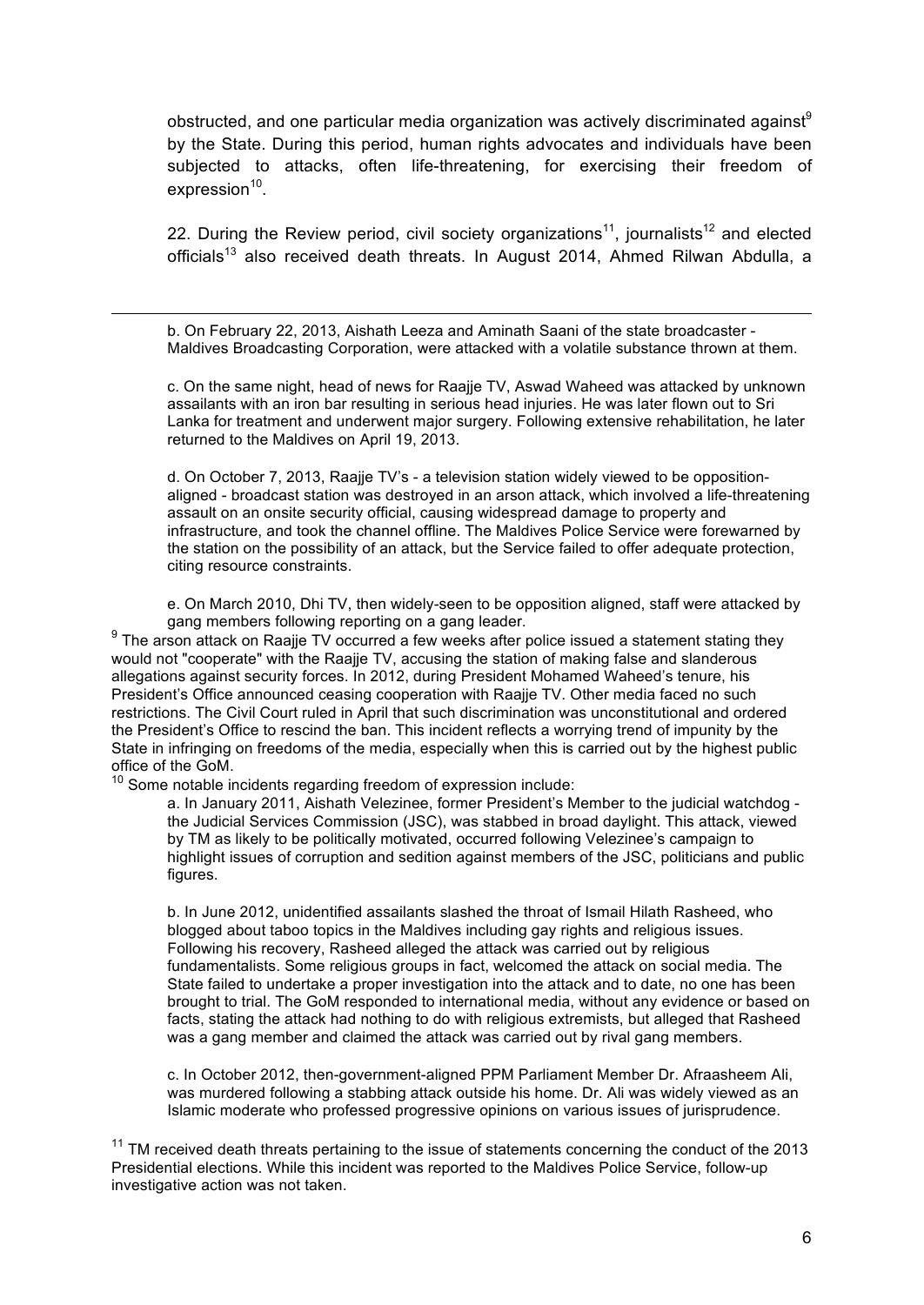obstructed, and one particular media organization was actively discriminated against<sup>9</sup> by the State. During this period, human rights advocates and individuals have been subjected to attacks, often life-threatening, for exercising their freedom of  $expression<sup>10</sup>$ .

22. During the Review period, civil society organizations<sup>11</sup>, journalists<sup>12</sup> and elected officials<sup>13</sup> also received death threats. In August 2014, Ahmed Rilwan Abdulla, a

b. On February 22, 2013, Aishath Leeza and Aminath Saani of the state broadcaster - Maldives Broadcasting Corporation, were attacked with a volatile substance thrown at them.

c. On the same night, head of news for Raajje TV, Aswad Waheed was attacked by unknown assailants with an iron bar resulting in serious head injuries. He was later flown out to Sri Lanka for treatment and underwent major surgery. Following extensive rehabilitation, he later returned to the Maldives on April 19, 2013.

d. On October 7, 2013, Raajje TV's - a television station widely viewed to be oppositionaligned - broadcast station was destroyed in an arson attack, which involved a life-threatening assault on an onsite security official, causing widespread damage to property and infrastructure, and took the channel offline. The Maldives Police Service were forewarned by the station on the possibility of an attack, but the Service failed to offer adequate protection, citing resource constraints.

e. On March 2010, Dhi TV, then widely-seen to be opposition aligned, staff were attacked by gang members following reporting on a gang leader.

 $9$  The arson attack on Raajje TV occurred a few weeks after police issued a statement stating they would not "cooperate" with the Raajje TV, accusing the station of making false and slanderous allegations against security forces. In 2012, during President Mohamed Waheed's tenure, his President's Office announced ceasing cooperation with Raajje TV. Other media faced no such restrictions. The Civil Court ruled in April that such discrimination was unconstitutional and ordered the President's Office to rescind the ban. This incident reflects a worrying trend of impunity by the State in infringing on freedoms of the media, especially when this is carried out by the highest public office of the GoM.

10 Some notable incidents regarding freedom of expression include:

a. In January 2011, Aishath Velezinee, former President's Member to the judicial watchdog the Judicial Services Commission (JSC), was stabbed in broad daylight. This attack, viewed by TM as likely to be politically motivated, occurred following Velezinee's campaign to highlight issues of corruption and sedition against members of the JSC, politicians and public figures.

b. In June 2012, unidentified assailants slashed the throat of Ismail Hilath Rasheed, who blogged about taboo topics in the Maldives including gay rights and religious issues. Following his recovery, Rasheed alleged the attack was carried out by religious fundamentalists. Some religious groups in fact, welcomed the attack on social media. The State failed to undertake a proper investigation into the attack and to date, no one has been brought to trial. The GoM responded to international media, without any evidence or based on facts, stating the attack had nothing to do with religious extremists, but alleged that Rasheed was a gang member and claimed the attack was carried out by rival gang members.

c. In October 2012, then-government-aligned PPM Parliament Member Dr. Afraasheem Ali, was murdered following a stabbing attack outside his home. Dr. Ali was widely viewed as an Islamic moderate who professed progressive opinions on various issues of jurisprudence.

 $11$  TM received death threats pertaining to the issue of statements concerning the conduct of the 2013 Presidential elections. While this incident was reported to the Maldives Police Service, follow-up investigative action was not taken.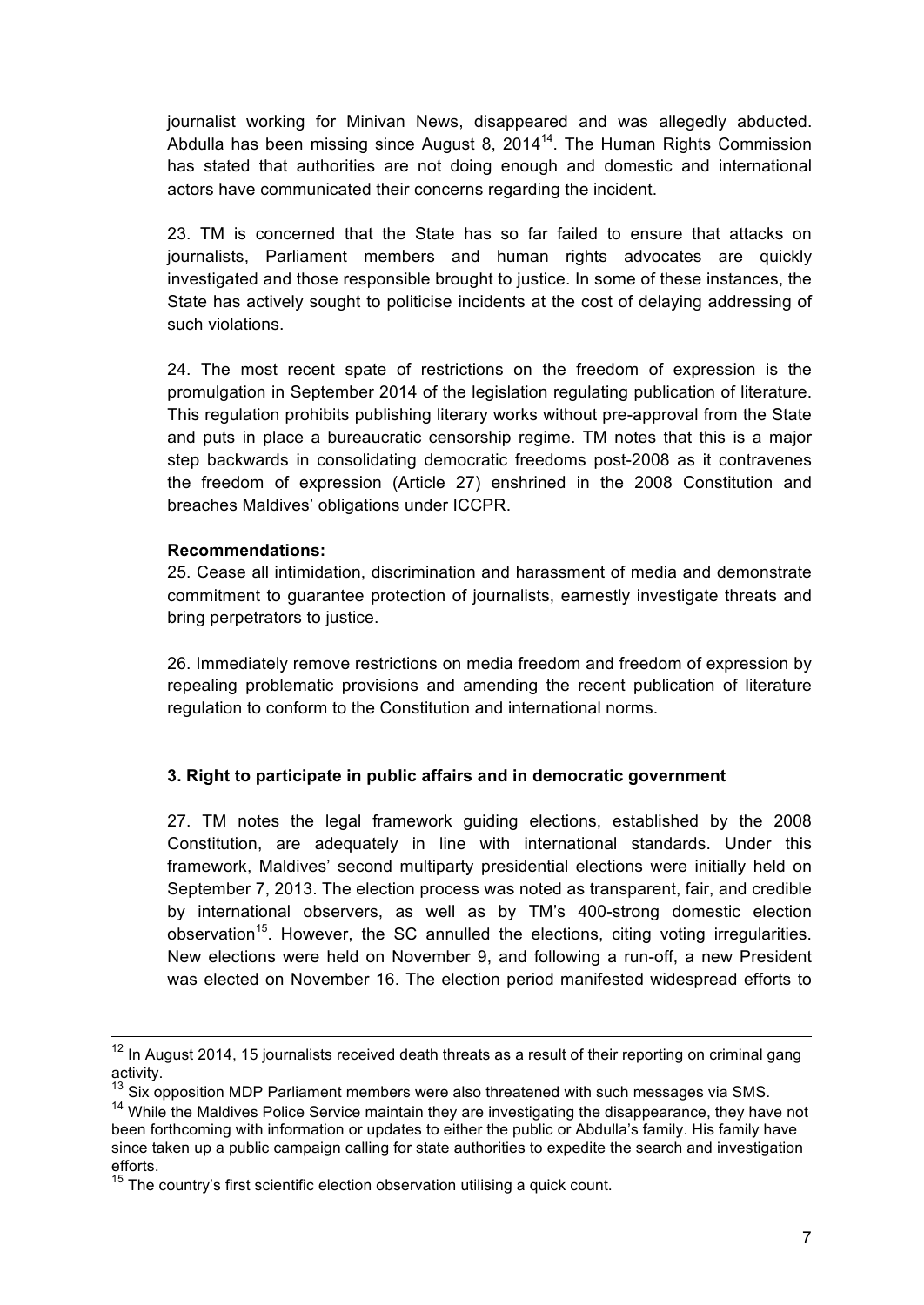journalist working for Minivan News, disappeared and was allegedly abducted. Abdulla has been missing since August 8, 2014<sup>14</sup>. The Human Rights Commission has stated that authorities are not doing enough and domestic and international actors have communicated their concerns regarding the incident.

23. TM is concerned that the State has so far failed to ensure that attacks on journalists, Parliament members and human rights advocates are quickly investigated and those responsible brought to justice. In some of these instances, the State has actively sought to politicise incidents at the cost of delaying addressing of such violations.

24. The most recent spate of restrictions on the freedom of expression is the promulgation in September 2014 of the legislation regulating publication of literature. This regulation prohibits publishing literary works without pre-approval from the State and puts in place a bureaucratic censorship regime. TM notes that this is a major step backwards in consolidating democratic freedoms post-2008 as it contravenes the freedom of expression (Article 27) enshrined in the 2008 Constitution and breaches Maldives' obligations under ICCPR.

### **Recommendations:**

25. Cease all intimidation, discrimination and harassment of media and demonstrate commitment to guarantee protection of journalists, earnestly investigate threats and bring perpetrators to justice.

26. Immediately remove restrictions on media freedom and freedom of expression by repealing problematic provisions and amending the recent publication of literature regulation to conform to the Constitution and international norms.

# **3. Right to participate in public affairs and in democratic government**

27. TM notes the legal framework guiding elections, established by the 2008 Constitution, are adequately in line with international standards. Under this framework, Maldives' second multiparty presidential elections were initially held on September 7, 2013. The election process was noted as transparent, fair, and credible by international observers, as well as by TM's 400-strong domestic election observation<sup>15</sup>. However, the SC annulled the elections, citing voting irregularities. New elections were held on November 9, and following a run-off, a new President was elected on November 16. The election period manifested widespread efforts to

<sup>&</sup>lt;sup>12</sup> In August 2014, 15 journalists received death threats as a result of their reporting on criminal gang activity.

 $13$  Six opposition MDP Parliament members were also threatened with such messages via SMS.

<sup>&</sup>lt;sup>14</sup> While the Maldives Police Service maintain they are investigating the disappearance, they have not been forthcoming with information or updates to either the public or Abdulla's family. His family have since taken up a public campaign calling for state authorities to expedite the search and investigation efforts.

 $15$  The country's first scientific election observation utilising a quick count.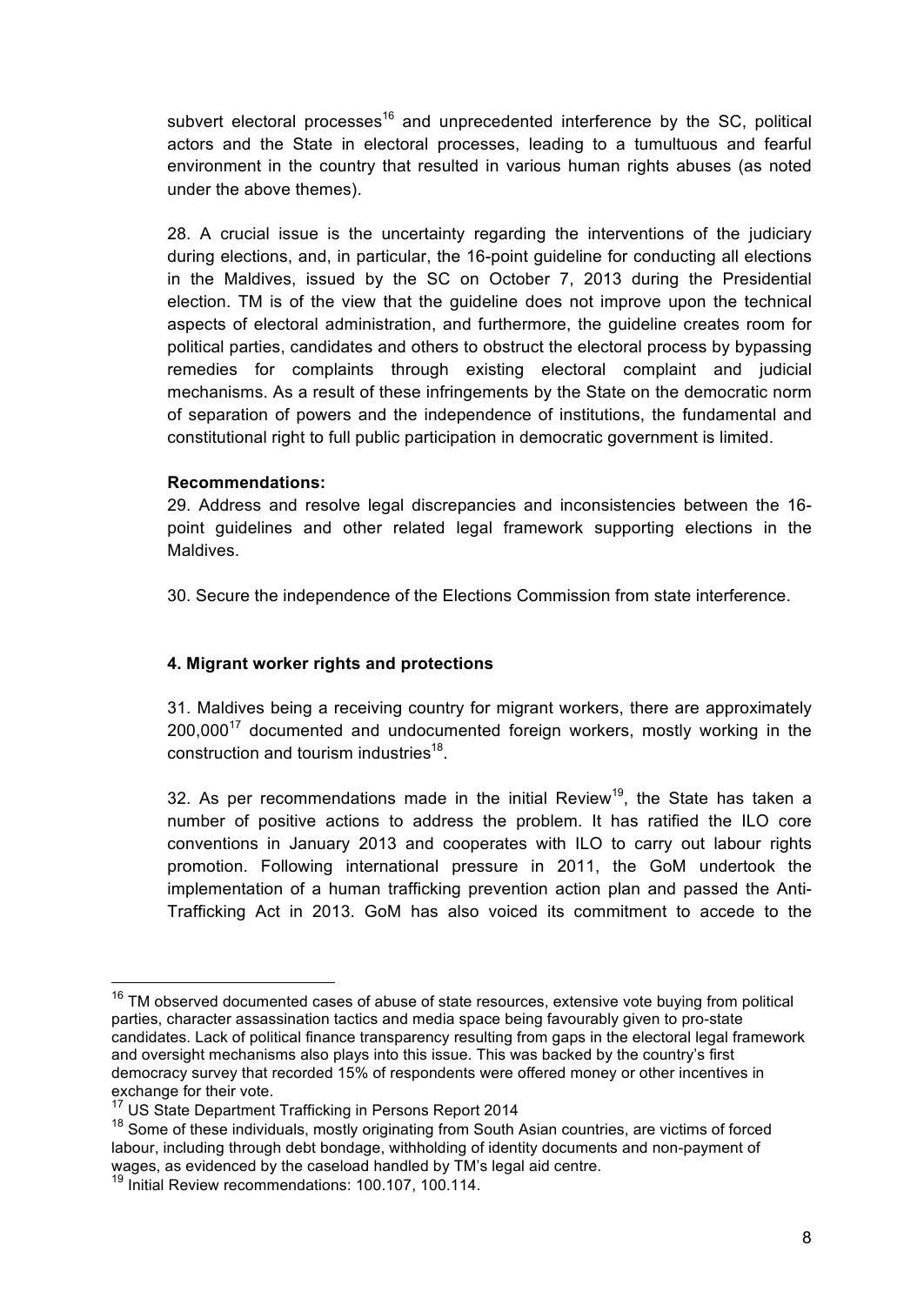subvert electoral processes<sup>16</sup> and unprecedented interference by the SC, political actors and the State in electoral processes, leading to a tumultuous and fearful environment in the country that resulted in various human rights abuses (as noted under the above themes).

28. A crucial issue is the uncertainty regarding the interventions of the judiciary during elections, and, in particular, the 16-point guideline for conducting all elections in the Maldives, issued by the SC on October 7, 2013 during the Presidential election. TM is of the view that the guideline does not improve upon the technical aspects of electoral administration, and furthermore, the guideline creates room for political parties, candidates and others to obstruct the electoral process by bypassing remedies for complaints through existing electoral complaint and judicial mechanisms. As a result of these infringements by the State on the democratic norm of separation of powers and the independence of institutions, the fundamental and constitutional right to full public participation in democratic government is limited.

### **Recommendations:**

29. Address and resolve legal discrepancies and inconsistencies between the 16 point guidelines and other related legal framework supporting elections in the **Maldives** 

30. Secure the independence of the Elections Commission from state interference.

# **4. Migrant worker rights and protections**

31. Maldives being a receiving country for migrant workers, there are approximately 200.000<sup>17</sup> documented and undocumented foreign workers, mostly working in the construction and tourism industries<sup>18</sup>.

32. As per recommendations made in the initial Review<sup>19</sup>, the State has taken a number of positive actions to address the problem. It has ratified the ILO core conventions in January 2013 and cooperates with ILO to carry out labour rights promotion. Following international pressure in 2011, the GoM undertook the implementation of a human trafficking prevention action plan and passed the Anti-Trafficking Act in 2013. GoM has also voiced its commitment to accede to the

<sup>&</sup>lt;sup>16</sup> TM observed documented cases of abuse of state resources, extensive vote buying from political parties, character assassination tactics and media space being favourably given to pro-state candidates. Lack of political finance transparency resulting from gaps in the electoral legal framework and oversight mechanisms also plays into this issue. This was backed by the country's first democracy survey that recorded 15% of respondents were offered money or other incentives in exchange for their vote.

<sup>17</sup> US State Department Trafficking in Persons Report 2014

<sup>&</sup>lt;sup>18</sup> Some of these individuals, mostly originating from South Asian countries, are victims of forced labour, including through debt bondage, withholding of identity documents and non-payment of wages, as evidenced by the caseload handled by TM's legal aid centre.

<sup>19</sup> Initial Review recommendations: 100.107, 100.114.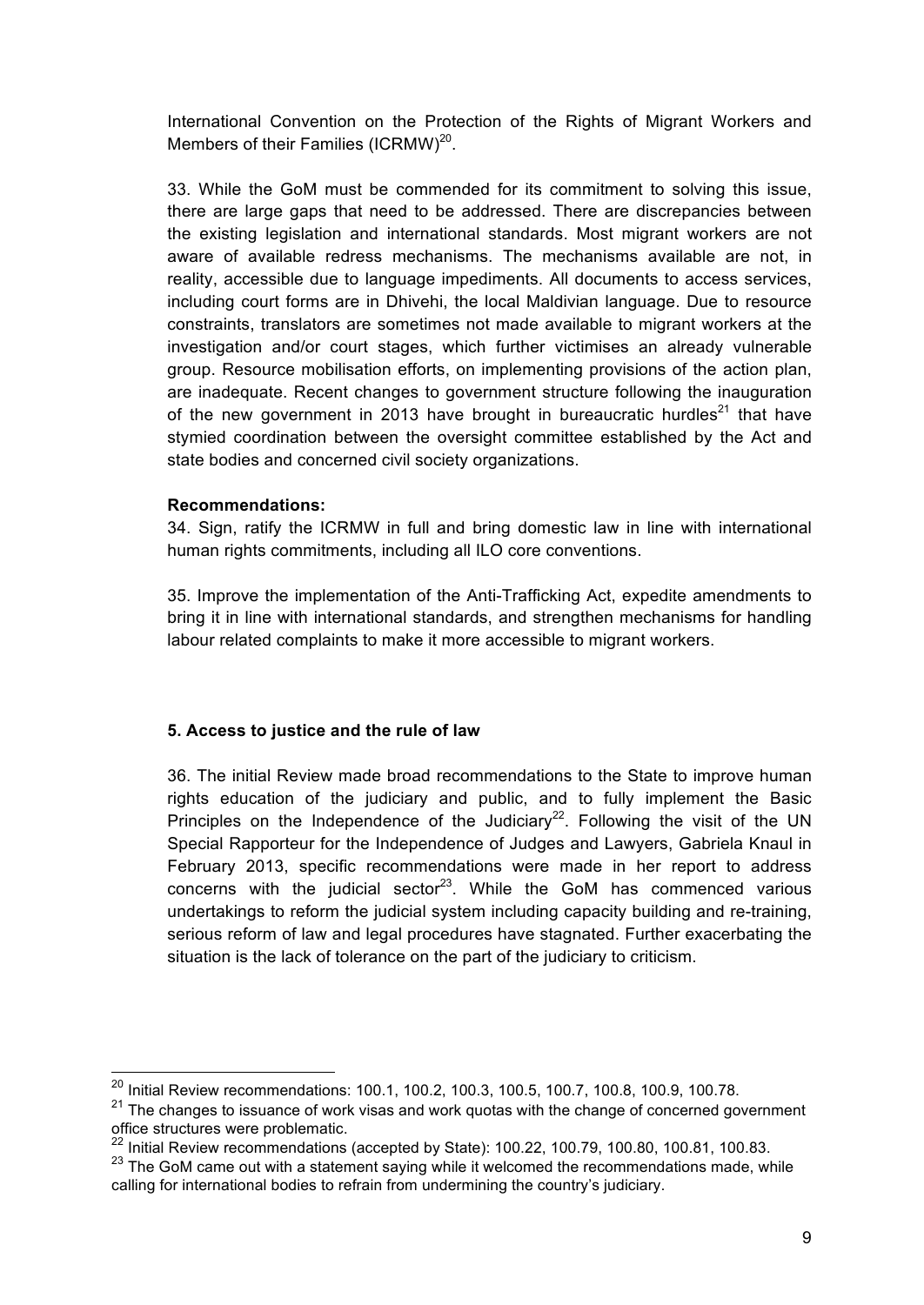International Convention on the Protection of the Rights of Migrant Workers and Members of their Families (ICRMW)<sup>20</sup>.

33. While the GoM must be commended for its commitment to solving this issue, there are large gaps that need to be addressed. There are discrepancies between the existing legislation and international standards. Most migrant workers are not aware of available redress mechanisms. The mechanisms available are not, in reality, accessible due to language impediments. All documents to access services, including court forms are in Dhivehi, the local Maldivian language. Due to resource constraints, translators are sometimes not made available to migrant workers at the investigation and/or court stages, which further victimises an already vulnerable group. Resource mobilisation efforts, on implementing provisions of the action plan, are inadequate. Recent changes to government structure following the inauguration of the new government in 2013 have brought in bureaucratic hurdles<sup>21</sup> that have stymied coordination between the oversight committee established by the Act and state bodies and concerned civil society organizations.

### **Recommendations:**

34. Sign, ratify the ICRMW in full and bring domestic law in line with international human rights commitments, including all ILO core conventions.

35. Improve the implementation of the Anti-Trafficking Act, expedite amendments to bring it in line with international standards, and strengthen mechanisms for handling labour related complaints to make it more accessible to migrant workers.

# **5. Access to justice and the rule of law**

36. The initial Review made broad recommendations to the State to improve human rights education of the judiciary and public, and to fully implement the Basic Principles on the Independence of the Judiciary<sup>22</sup>. Following the visit of the UN Special Rapporteur for the Independence of Judges and Lawyers, Gabriela Knaul in February 2013, specific recommendations were made in her report to address concerns with the judicial sector<sup>23</sup>. While the GoM has commenced various undertakings to reform the judicial system including capacity building and re-training, serious reform of law and legal procedures have stagnated. Further exacerbating the situation is the lack of tolerance on the part of the judiciary to criticism.

 <sup>20</sup> Initial Review recommendations: 100.1, 100.2, 100.3, 100.5, 100.7, 100.8, 100.9, 100.78.

<sup>&</sup>lt;sup>21</sup> The changes to issuance of work visas and work quotas with the change of concerned government office structures were problematic.

 $^{22}$  Initial Review recommendations (accepted by State): 100.22, 100.79, 100.80, 100.81, 100.83.

 $23$  The GoM came out with a statement saying while it welcomed the recommendations made, while calling for international bodies to refrain from undermining the country's judiciary.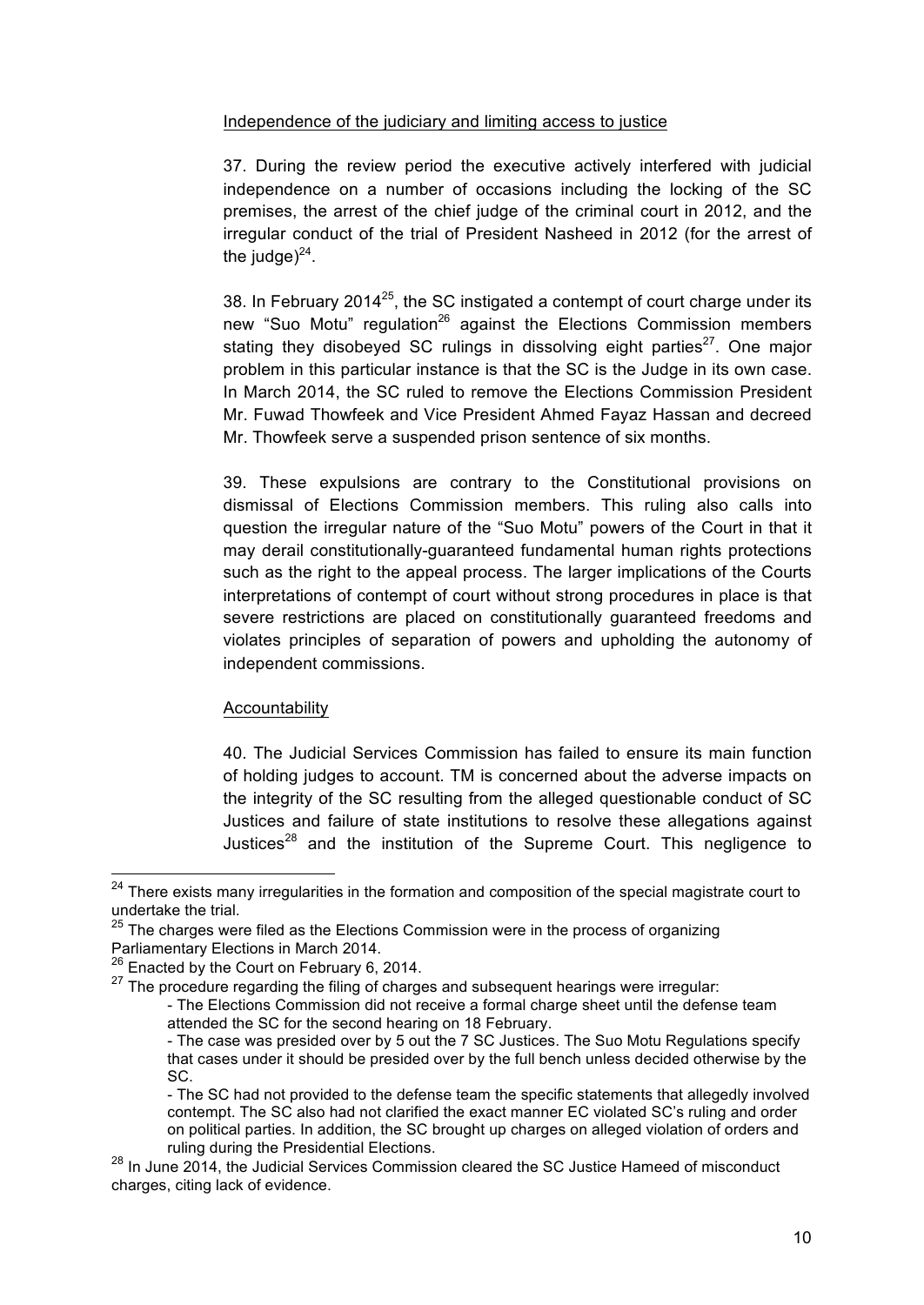# Independence of the judiciary and limiting access to justice

37. During the review period the executive actively interfered with judicial independence on a number of occasions including the locking of the SC premises, the arrest of the chief judge of the criminal court in 2012, and the irregular conduct of the trial of President Nasheed in 2012 (for the arrest of the judge) $^{24}$ .

38. In February 2014 $^{25}$ , the SC instigated a contempt of court charge under its new "Suo Motu" regulation<sup>26</sup> against the Elections Commission members stating they disobeyed SC rulings in dissolving eight parties<sup>27</sup>. One major problem in this particular instance is that the SC is the Judge in its own case. In March 2014, the SC ruled to remove the Elections Commission President Mr. Fuwad Thowfeek and Vice President Ahmed Fayaz Hassan and decreed Mr. Thowfeek serve a suspended prison sentence of six months.

39. These expulsions are contrary to the Constitutional provisions on dismissal of Elections Commission members. This ruling also calls into question the irregular nature of the "Suo Motu" powers of the Court in that it may derail constitutionally-guaranteed fundamental human rights protections such as the right to the appeal process. The larger implications of the Courts interpretations of contempt of court without strong procedures in place is that severe restrictions are placed on constitutionally guaranteed freedoms and violates principles of separation of powers and upholding the autonomy of independent commissions.

### **Accountability**

40. The Judicial Services Commission has failed to ensure its main function of holding judges to account. TM is concerned about the adverse impacts on the integrity of the SC resulting from the alleged questionable conduct of SC Justices and failure of state institutions to resolve these allegations against Justices $^{28}$  and the institution of the Supreme Court. This negligence to

<sup>&</sup>lt;sup>24</sup> There exists many irregularities in the formation and composition of the special magistrate court to undertake the trial.

 $25$  The charges were filed as the Elections Commission were in the process of organizing Parliamentary Elections in March 2014.

<sup>&</sup>lt;sup>26</sup> Enacted by the Court on February 6, 2014.

 $27$  The procedure regarding the filing of charges and subsequent hearings were irregular:

<sup>-</sup> The Elections Commission did not receive a formal charge sheet until the defense team attended the SC for the second hearing on 18 February.

<sup>-</sup> The case was presided over by 5 out the 7 SC Justices. The Suo Motu Regulations specify that cases under it should be presided over by the full bench unless decided otherwise by the SC.

<sup>-</sup> The SC had not provided to the defense team the specific statements that allegedly involved contempt. The SC also had not clarified the exact manner EC violated SC's ruling and order on political parties. In addition, the SC brought up charges on alleged violation of orders and ruling during the Presidential Elections.

<sup>&</sup>lt;sup>28</sup> In June 2014, the Judicial Services Commission cleared the SC Justice Hameed of misconduct charges, citing lack of evidence.